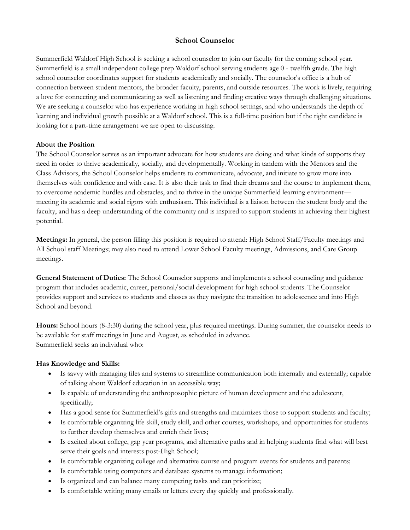# **School Counselor**

Summerfield Waldorf High School is seeking a school counselor to join our faculty for the coming school year. Summerfield is a small independent college prep Waldorf school serving students age 0 - twelfth grade. The high school counselor coordinates support for students academically and socially. The counselor's office is a hub of connection between student mentors, the broader faculty, parents, and outside resources. The work is lively, requiring a love for connecting and communicating as well as listening and finding creative ways through challenging situations. We are seeking a counselor who has experience working in high school settings, and who understands the depth of learning and individual growth possible at a Waldorf school. This is a full-time position but if the right candidate is looking for a part-time arrangement we are open to discussing.

#### **About the Position**

The School Counselor serves as an important advocate for how students are doing and what kinds of supports they need in order to thrive academically, socially, and developmentally. Working in tandem with the Mentors and the Class Advisors, the School Counselor helps students to communicate, advocate, and initiate to grow more into themselves with confidence and with ease. It is also their task to find their dreams and the course to implement them, to overcome academic hurdles and obstacles, and to thrive in the unique Summerfield learning environment meeting its academic and social rigors with enthusiasm. This individual is a liaison between the student body and the faculty, and has a deep understanding of the community and is inspired to support students in achieving their highest potential.

**Meetings:** In general, the person filling this position is required to attend: High School Staff/Faculty meetings and All School staff Meetings; may also need to attend Lower School Faculty meetings, Admissions, and Care Group meetings.

**General Statement of Duties:** The School Counselor supports and implements a school counseling and guidance program that includes academic, career, personal/social development for high school students. The Counselor provides support and services to students and classes as they navigate the transition to adolescence and into High School and beyond.

**Hours:** School hours (8-3:30) during the school year, plus required meetings. During summer, the counselor needs to be available for staff meetings in June and August, as scheduled in advance. Summerfield seeks an individual who:

#### **Has Knowledge and Skills:**

- Is savvy with managing files and systems to streamline communication both internally and externally; capable of talking about Waldorf education in an accessible way;
- Is capable of understanding the anthroposophic picture of human development and the adolescent, specifically;
- Has a good sense for Summerfield's gifts and strengths and maximizes those to support students and faculty;
- Is comfortable organizing life skill, study skill, and other courses, workshops, and opportunities for students to further develop themselves and enrich their lives;
- Is excited about college, gap year programs, and alternative paths and in helping students find what will best serve their goals and interests post-High School;
- Is comfortable organizing college and alternative course and program events for students and parents;
- Is comfortable using computers and database systems to manage information;
- Is organized and can balance many competing tasks and can prioritize;
- Is comfortable writing many emails or letters every day quickly and professionally.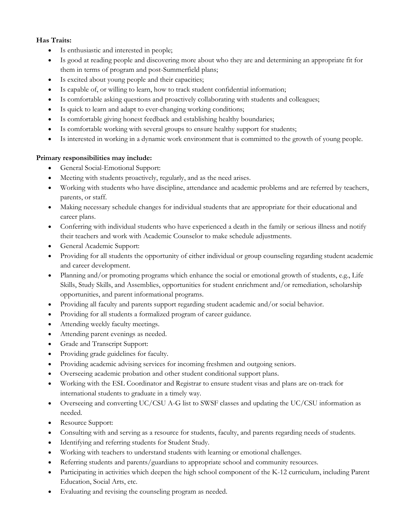## **Has Traits:**

- Is enthusiastic and interested in people;
- Is good at reading people and discovering more about who they are and determining an appropriate fit for them in terms of program and post-Summerfield plans;
- Is excited about young people and their capacities;
- Is capable of, or willing to learn, how to track student confidential information;
- Is comfortable asking questions and proactively collaborating with students and colleagues;
- Is quick to learn and adapt to ever-changing working conditions;
- Is comfortable giving honest feedback and establishing healthy boundaries;
- Is comfortable working with several groups to ensure healthy support for students;
- Is interested in working in a dynamic work environment that is committed to the growth of young people.

## **Primary responsibilities may include:**

- General Social-Emotional Support:
- Meeting with students proactively, regularly, and as the need arises.
- Working with students who have discipline, attendance and academic problems and are referred by teachers, parents, or staff.
- Making necessary schedule changes for individual students that are appropriate for their educational and career plans.
- Conferring with individual students who have experienced a death in the family or serious illness and notify their teachers and work with Academic Counselor to make schedule adjustments.
- General Academic Support:
- Providing for all students the opportunity of either individual or group counseling regarding student academic and career development.
- Planning and/or promoting programs which enhance the social or emotional growth of students, e.g., Life Skills, Study Skills, and Assemblies, opportunities for student enrichment and/or remediation, scholarship opportunities, and parent informational programs.
- Providing all faculty and parents support regarding student academic and/or social behavior.
- Providing for all students a formalized program of career guidance.
- Attending weekly faculty meetings.
- Attending parent evenings as needed.
- Grade and Transcript Support:
- Providing grade guidelines for faculty.
- Providing academic advising services for incoming freshmen and outgoing seniors.
- Overseeing academic probation and other student conditional support plans.
- Working with the ESL Coordinator and Registrar to ensure student visas and plans are on-track for international students to graduate in a timely way.
- Overseeing and converting UC/CSU A-G list to SWSF classes and updating the UC/CSU information as needed.
- Resource Support:
- Consulting with and serving as a resource for students, faculty, and parents regarding needs of students.
- Identifying and referring students for Student Study.
- Working with teachers to understand students with learning or emotional challenges.
- Referring students and parents/guardians to appropriate school and community resources.
- Participating in activities which deepen the high school component of the K-12 curriculum, including Parent Education, Social Arts, etc.
- Evaluating and revising the counseling program as needed.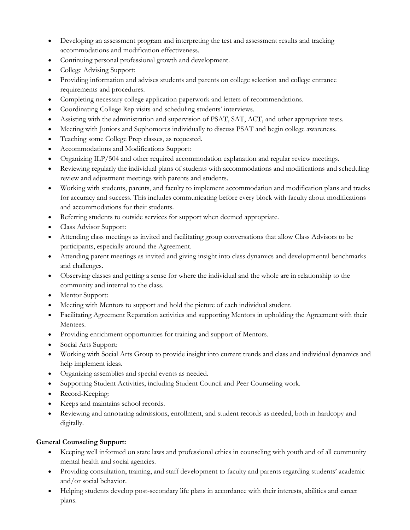- Developing an assessment program and interpreting the test and assessment results and tracking accommodations and modification effectiveness.
- Continuing personal professional growth and development.
- College Advising Support:
- Providing information and advises students and parents on college selection and college entrance requirements and procedures.
- Completing necessary college application paperwork and letters of recommendations.
- Coordinating College Rep visits and scheduling students' interviews.
- Assisting with the administration and supervision of PSAT, SAT, ACT, and other appropriate tests.
- Meeting with Juniors and Sophomores individually to discuss PSAT and begin college awareness.
- Teaching some College Prep classes, as requested.
- Accommodations and Modifications Support:
- Organizing ILP/504 and other required accommodation explanation and regular review meetings.
- Reviewing regularly the individual plans of students with accommodations and modifications and scheduling review and adjustment meetings with parents and students.
- Working with students, parents, and faculty to implement accommodation and modification plans and tracks for accuracy and success. This includes communicating before every block with faculty about modifications and accommodations for their students.
- Referring students to outside services for support when deemed appropriate.
- Class Advisor Support:
- Attending class meetings as invited and facilitating group conversations that allow Class Advisors to be participants, especially around the Agreement.
- Attending parent meetings as invited and giving insight into class dynamics and developmental benchmarks and challenges.
- Observing classes and getting a sense for where the individual and the whole are in relationship to the community and internal to the class.
- Mentor Support:
- Meeting with Mentors to support and hold the picture of each individual student.
- Facilitating Agreement Reparation activities and supporting Mentors in upholding the Agreement with their Mentees.
- Providing enrichment opportunities for training and support of Mentors.
- Social Arts Support:
- Working with Social Arts Group to provide insight into current trends and class and individual dynamics and help implement ideas.
- Organizing assemblies and special events as needed.
- Supporting Student Activities, including Student Council and Peer Counseling work.
- Record-Keeping:
- Keeps and maintains school records.
- Reviewing and annotating admissions, enrollment, and student records as needed, both in hardcopy and digitally.

## **General Counseling Support:**

- Keeping well informed on state laws and professional ethics in counseling with youth and of all community mental health and social agencies.
- Providing consultation, training, and staff development to faculty and parents regarding students' academic and/or social behavior.
- Helping students develop post-secondary life plans in accordance with their interests, abilities and career plans.